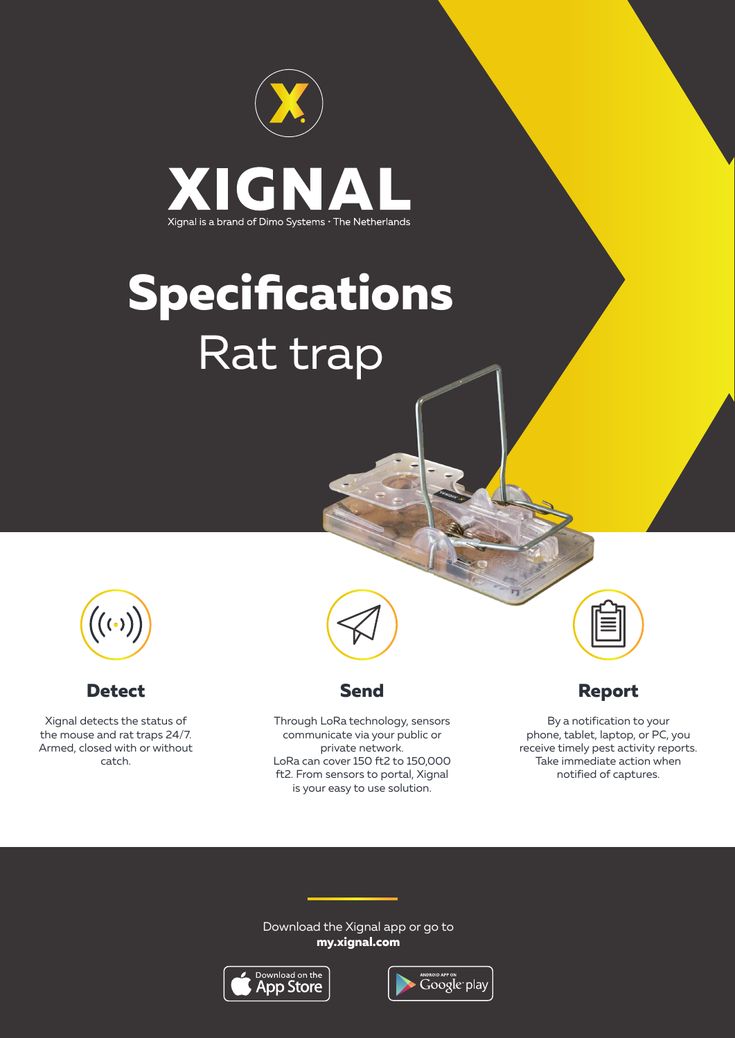

# **Specifications** Rat trap



#### **Detect**

Xignal detects the status of the mouse and rat traps 24/7. Armed, closed with or without catch.



#### **Send**

Through LoRa technology, sensors communicate via your public or private network. LoRa can cover 150 ft2 to 150,000 ft2. From sensors to portal, Xignal is your easy to use solution.

# **Report**

By a notification to your phone, tablet, laptop, or PC, you receive timely pest activity reports. Take immediate action when notified of captures.

#### Download the Xignal app or go to **my.xignal.com**